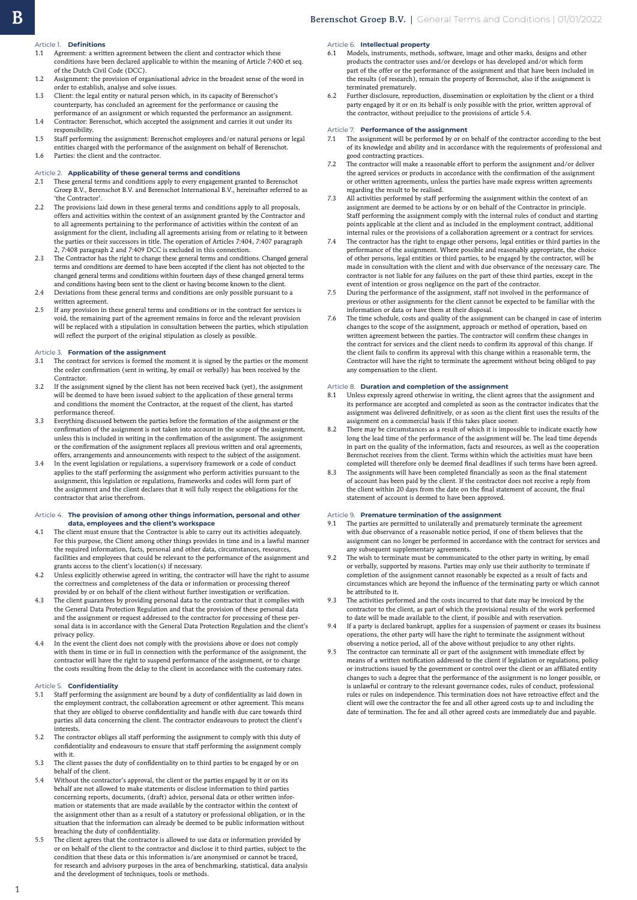### Article 1. **Definitions**

- 1.1 Agreement: a written agreement between the client and contractor which these conditions have been declared applicable to within the meaning of Article 7:400 et seq. of the Dutch Civil Code (DCC).
- 1.2 Assignment: the provision of organisational advice in the broadest sense of the word in order to establish, analyse and solve issues. 1.3 Client: the legal entity or natural person which, in its capacity of Berenschot's
- counterparty, has concluded an agreement for the performance or causing the performance of an assignment or which requested the performance an assignment. 1.4 Contractor: Berenschot, which accepted the assignment and carries it out under its
- responsibility. 1.5 Staff performing the assignment: Berenschot employees and/or natural persons or legal
- entities charged with the performance of the assignment on behalf of Berenschot. 1.6 Parties: the client and the contractor.

### Article 2. **Applicability of these general terms and conditions**

- 2.1 These general terms and conditions apply to every engagement granted to Berenschot Groep B.V., Berenschot B.V. and Berenschot International B.V., hereinafter referred to as 'the Contractor'.
- 2.2 The provisions laid down in these general terms and conditions apply to all proposals, offers and activities within the context of an assignment granted by the Contractor and to all agreements pertaining to the performance of activities within the context of an assignment for the client, including all agreements arising from or relating to it between the parties or their successors in title. The operation of Articles 7:404, 7:407 paragraph 2, 7:408 paragraph 2 and 7:409 DCC is excluded in this connection.
- 2.3 The Contractor has the right to change these general terms and conditions. Changed general terms and conditions are deemed to have been accepted if the client has not objected to the changed general terms and conditions within fourteen days of these changed general terms and conditions having been sent to the client or having become known to the client.
- 2.4 Deviations from these general terms and conditions are only possible pursuant to a written agreement.
- 2.5 If any provision in these general terms and conditions or in the contract for services is void, the remaining part of the agreement remains in force and the relevant provision will be replaced with a stipulation in consultation between the parties, which stipulation will reflect the purport of the original stipulation as closely as possible.

#### Article 3. **Formation of the assignment**

- 3.1 The contract for services is formed the moment it is signed by the parties or the moment the order confirmation (sent in writing, by email or verbally) has been received by the Contractor.
- 3.2 If the assignment signed by the client has not been received back (yet), the assignment will be deemed to have been issued subject to the application of these general terms and conditions the moment the Contractor, at the request of the client, has started performance thereof.
- 3.3 Everything discussed between the parties before the formation of the assignment or the confirmation of the assignment is not taken into account in the scope of the assignment, unless this is included in writing in the confirmation of the assignment. The assignment or the confirmation of the assignment replaces all previous written and oral agreements, offers, arrangements and announcements with respect to the subject of the assignment.
- 3.4 In the event legislation or regulations, a supervisory framework or a code of conduct applies to the staff performing the assignment who perform activities pursuant to the assignment, this legislation or regulations, frameworks and codes will form part of the assignment and the client declares that it will fully respect the obligations for the contractor that arise therefrom.

### Article 4. **The provision of among other things information, personal and other data, employees and the client's workspace**

- 4.1 The client must ensure that the Contractor is able to carry out its activities adequately. For this purpose, the Client among other things provides in time and in a lawful manner the required information, facts, personal and other data, circumstances, resources, facilities and employees that could be relevant to the performance of the assignment and grants access to the client's location(s) if necessary.
- 4.2 Unless explicitly otherwise agreed in writing, the contractor will have the right to assume the correctness and completeness of the data or information or processing thereof provided by or on behalf of the client without further investigation or verification.
- 4.3 The client guarantees by providing personal data to the contractor that it complies with the General Data Protection Regulation and that the provision of these personal data and the assignment or request addressed to the contractor for processing of these personal data is in accordance with the General Data Protection Regulation and the client's privacy policy.
- 4.4 In the event the client does not comply with the provisions above or does not comply with them in time or in full in connection with the performance of the assignment, the contractor will have the right to suspend performance of the assignment, or to charge the costs resulting from the delay to the client in accordance with the customary rates.

#### Article 5. **Confidentiality**

1

- 5.1 Staff performing the assignment are bound by a duty of confidentiality as laid down in the employment contract, the collaboration agreement or other agreement. This means that they are obliged to observe confidentiality and handle with due care towards third parties all data concerning the client. The contractor endeavours to protect the client's .<br>interests.
- 5.2 The contractor obliges all staff performing the assignment to comply with this duty of confidentiality and endeavours to ensure that staff performing the assignment comply with it.
- 5.3 The client passes the duty of confidentiality on to third parties to be engaged by or on behalf of the client.
- 5.4 Without the contractor's approval, the client or the parties engaged by it or on its behalf are not allowed to make statements or disclose information to third parties concerning reports, documents, (draft) advice, personal data or other written information or statements that are made available by the contractor within the context of the assignment other than as a result of a statutory or professional obligation, or in the situation that the information can already be deemed to be public information without breaching the duty of confidentiality.
- 5.5 The client agrees that the contractor is allowed to use data or information provided by or on behalf of the client to the contractor and disclose it to third parties, subject to the condition that these data or this information is/are anonymised or cannot be traced, for research and advisory purposes in the area of benchmarking, statistical, data analysis and the development of techniques, tools or methods.

# Article 6. **Intellectual property**

- 6.1 Models, instruments, methods, software, image and other marks, designs and other products the contractor uses and/or develops or has developed and/or which form part of the offer or the performance of the assignment and that have been included in the results (of research), remain the property of Berenschot, also if the assignment is terminated prematurely.
- 6.2 Further disclosure, reproduction, dissemination or exploitation by the client or a third party engaged by it or on its behalf is only possible with the prior, written approval of the contractor, without prejudice to the provisions of article 5.4.

#### Article 7. **Performance of the assignment**

- 7.1 The assignment will be performed by or on behalf of the contractor according to the best of its knowledge and ability and in accordance with the requirements of professional and good contracting practices.
- The contractor will make a reasonable effort to perform the assignment and/or deliver the agreed services or products in accordance with the confirmation of the assignment or other written agreements, unless the parties have made express written agreements regarding the result to be realised.
- 7.3 All activities performed by staff performing the assignment within the context of an assignment are deemed to be actions by or on behalf of the Contractor in principle. Staff performing the assignment comply with the internal rules of conduct and starting points applicable at the client and as included in the employment contract, additional internal rules or the provisions of a collaboration agreement or a contract for services.
- 7.4 The contractor has the right to engage other persons, legal entities or third parties in the performance of the assignment. Where possible and reasonably appropriate, the choice of other persons, legal entities or third parties, to be engaged by the contractor, will be made in consultation with the client and with due observance of the necessary care. The contractor is not liable for any failures on the part of these third parties, except in the event of intention or gross negligence on the part of the contractor.
- During the performance of the assignment, staff not involved in the performance of previous or other assignments for the client cannot be expected to be familiar with the information or data or have them at their disposal.
- 7.6 The time schedule, costs and quality of the assignment can be changed in case of interim changes to the scope of the assignment, approach or method of operation, based on written agreement between the parties. The contractor will confirm these changes in the contract for services and the client needs to confirm its approval of this change. If the client fails to confirm its approval with this change within a reasonable term, the Contractor will have the right to terminate the agreement without being obliged to pay any compensation to the client.

### Article 8. **Duration and completion of the assignment**

- Unless expressly agreed otherwise in writing, the client agrees that the assignment and its performance are accepted and completed as soon as the contractor indicates that the assignment was delivered definitively, or as soon as the client first uses the results of the assignment on a commercial basis if this takes place sooner.
- 8.2 There may be circumstances as a result of which it is impossible to indicate exactly how long the lead time of the performance of the assignment will be. The lead time depends in part on the quality of the information, facts and resources, as well as the cooperation Berenschot receives from the client. Terms within which the activities must have been completed will therefore only be deemed final deadlines if such terms have been agreed.
- 8.3 The assignments will have been completed financially as soon as the final statement of account has been paid by the client. If the contractor does not receive a reply from the client within 20 days from the date on the final statement of account, the final statement of account is deemed to have been approved.

## Article 9. **Premature termination of the assignment**

- 9.1 The parties are permitted to unilaterally and prematurely terminate the agreement with due observance of a reasonable notice period, if one of them believes that the assignment can no longer be performed in accordance with the contract for services and any subsequent supplementary agreements.
- The wish to terminate must be communicated to the other party in writing, by email or verbally, supported by reasons. Parties may only use their authority to terminate if completion of the assignment cannot reasonably be expected as a result of facts and circumstances which are beyond the influence of the terminating party or which cannot be attributed to it.
- 9.3 The activities performed and the costs incurred to that date may be invoiced by the contractor to the client, as part of which the provisional results of the work performed to date will be made available to the client, if possible and with reservation.
- 9.4 If a party is declared bankrupt, applies for a suspension of payment or ceases its business operations, the other party will have the right to terminate the assignment without observing a notice period, all of the above without prejudice to any other rights.
- 9.5 The contractor can terminate all or part of the assignment with immediate effect by means of a written notification addressed to the client if legislation or regulations, policy or instructions issued by the government or control over the client or an affiliated entity changes to such a degree that the performance of the assignment is no longer possible, or is unlawful or contrary to the relevant governance codes, rules of conduct, professional rules or rules on independence. This termination does not have retroactive effect and the client will owe the contractor the fee and all other agreed costs up to and including the date of termination. The fee and all other agreed costs are immediately due and payable.